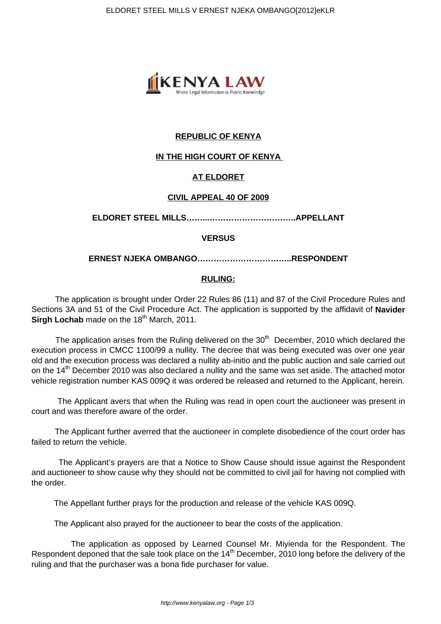

# **REPUBLIC OF KENYA**

# **IN THE HIGH COURT OF KENYA**

# **AT ELDORET**

## **CIVIL APPEAL 40 OF 2009**

**ELDORET STEEL MILLS……...…………………………..APPELLANT**

## **VERSUS**

**ERNEST NJEKA OMBANGO……………………………..RESPONDENT**

# **RULING:**

 The application is brought under Order 22 Rules 86 (11) and 87 of the Civil Procedure Rules and Sections 3A and 51 of the Civil Procedure Act. The application is supported by the affidavit of **Navider Sirgh Lochab** made on the 18<sup>th</sup> March, 2011.

The application arises from the Ruling delivered on the  $30<sup>th</sup>$  December, 2010 which declared the execution process in CMCC 1100/99 a nullity. The decree that was being executed was over one year old and the execution process was declared a nullity ab-initio and the public auction and sale carried out on the 14<sup>th</sup> December 2010 was also declared a nullity and the same was set aside. The attached motor vehicle registration number KAS 009Q it was ordered be released and returned to the Applicant, herein.

 The Applicant avers that when the Ruling was read in open court the auctioneer was present in court and was therefore aware of the order.

 The Applicant further averred that the auctioneer in complete disobedience of the court order has failed to return the vehicle.

 The Applicant's prayers are that a Notice to Show Cause should issue against the Respondent and auctioneer to show cause why they should not be committed to civil jail for having not complied with the order.

The Appellant further prays for the production and release of the vehicle KAS 009Q.

The Applicant also prayed for the auctioneer to bear the costs of the application.

 The application as opposed by Learned Counsel Mr. Miyienda for the Respondent. The Respondent deponed that the sale took place on the 14<sup>th</sup> December, 2010 long before the delivery of the ruling and that the purchaser was a bona fide purchaser for value.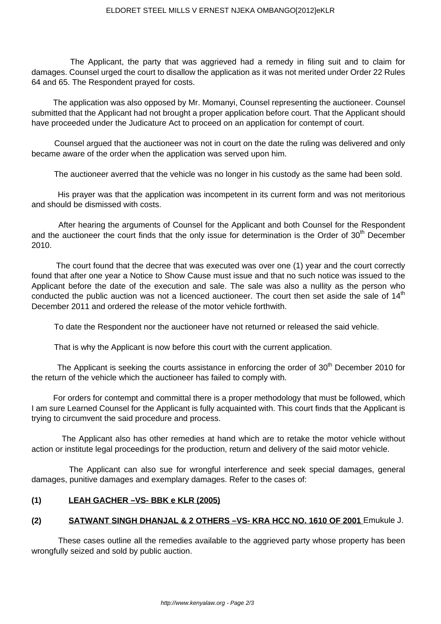The Applicant, the party that was aggrieved had a remedy in filing suit and to claim for damages. Counsel urged the court to disallow the application as it was not merited under Order 22 Rules 64 and 65. The Respondent prayed for costs.

 The application was also opposed by Mr. Momanyi, Counsel representing the auctioneer. Counsel submitted that the Applicant had not brought a proper application before court. That the Applicant should have proceeded under the Judicature Act to proceed on an application for contempt of court.

 Counsel argued that the auctioneer was not in court on the date the ruling was delivered and only became aware of the order when the application was served upon him.

The auctioneer averred that the vehicle was no longer in his custody as the same had been sold.

 His prayer was that the application was incompetent in its current form and was not meritorious and should be dismissed with costs.

 After hearing the arguments of Counsel for the Applicant and both Counsel for the Respondent and the auctioneer the court finds that the only issue for determination is the Order of 30<sup>th</sup> December 2010.

 The court found that the decree that was executed was over one (1) year and the court correctly found that after one year a Notice to Show Cause must issue and that no such notice was issued to the Applicant before the date of the execution and sale. The sale was also a nullity as the person who conducted the public auction was not a licenced auctioneer. The court then set aside the sale of  $14<sup>th</sup>$ December 2011 and ordered the release of the motor vehicle forthwith.

To date the Respondent nor the auctioneer have not returned or released the said vehicle.

That is why the Applicant is now before this court with the current application.

The Applicant is seeking the courts assistance in enforcing the order of 30<sup>th</sup> December 2010 for the return of the vehicle which the auctioneer has failed to comply with.

 For orders for contempt and committal there is a proper methodology that must be followed, which I am sure Learned Counsel for the Applicant is fully acquainted with. This court finds that the Applicant is trying to circumvent the said procedure and process.

 The Applicant also has other remedies at hand which are to retake the motor vehicle without action or institute legal proceedings for the production, return and delivery of the said motor vehicle.

 The Applicant can also sue for wrongful interference and seek special damages, general damages, punitive damages and exemplary damages. Refer to the cases of:

# **(1) LEAH GACHER –VS- BBK e KLR (2005)**

# **(2) SATWANT SINGH DHANJAL & 2 OTHERS –VS- KRA HCC NO. 1610 OF 2001** Emukule J.

 These cases outline all the remedies available to the aggrieved party whose property has been wrongfully seized and sold by public auction.